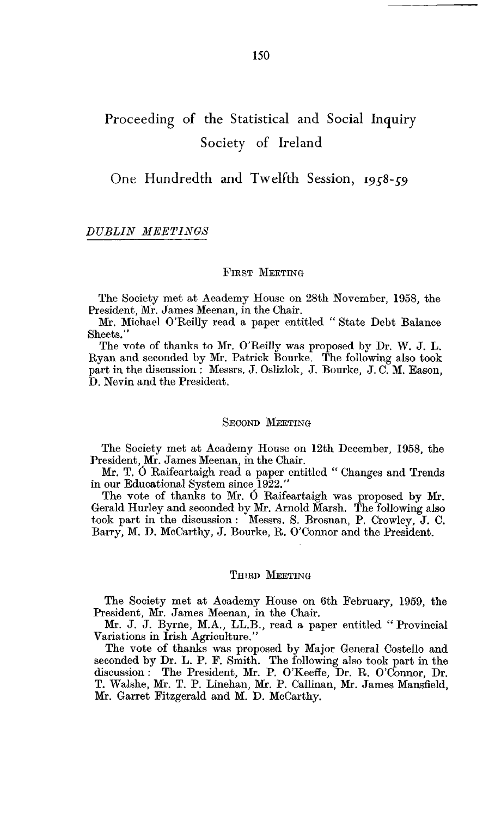# Proceeding of the Statistical and Social Inquiry Society of Ireland

One Hundredth and Twelfth Session, *1958-59*

# *DUBLIN MEETINGS*

## FIRST MEETING

The Society met at Academy House on 28th November, 1958, the President, Mr. James Meenan, in the Chair.

Mr. Michael O'Keilly read a paper entitled " State Debt Balance Sheets."

The vote of thanks to Mr. O'Reilly was proposed by Dr. W. J. L. Ryan and seconded by Mr. Patrick Bourke. The following also took part in the discussion : Messrs. J. Oslizlok, J. Bourke, J. C. M. Eason, D. Nevin and the President.

#### SECOND MEETING

The Society met at Academy House on 12th December, 1958, the President, Mr. James Meenan, in the Chair.

Mr. T. *0* Raifeartaigh read a paper entitled " Changes and Trends in our Educational System since 1922."

The vote of thanks to Mr. 6 Raifeartaigh was proposed by Mr. Gerald Hurley and seconded by Mr. Arnold Marsh. The following also took part in the discussion : Messrs. S. Brosnan, P. Crowley, J. C. Barry, M. D. McCarthy, J. Bourke, R. O'Connor and the President.

#### THIRD MEETING

The Society met at Academy House on 6th February, 1959, the President, Mr. James Meenan, in the Chair.

Mr. J. J. Byrne, M.A., LL.B., read a paper entitled " Provincial Variations in Irish Agriculture."

The vote of thanks was proposed by Major General Costello and seconded by Dr. L. P. F. Smith. The following also took part in the discussion : The President, Mr. P. O'Keeffe, Dr. R. O'Connor, Dr. T. Walshe, Mr. T. P. Linehan, Mr. P. Callinan, Mr. James Mansfield, Mr. Garret Fitzgerald and M. D. McCarthy.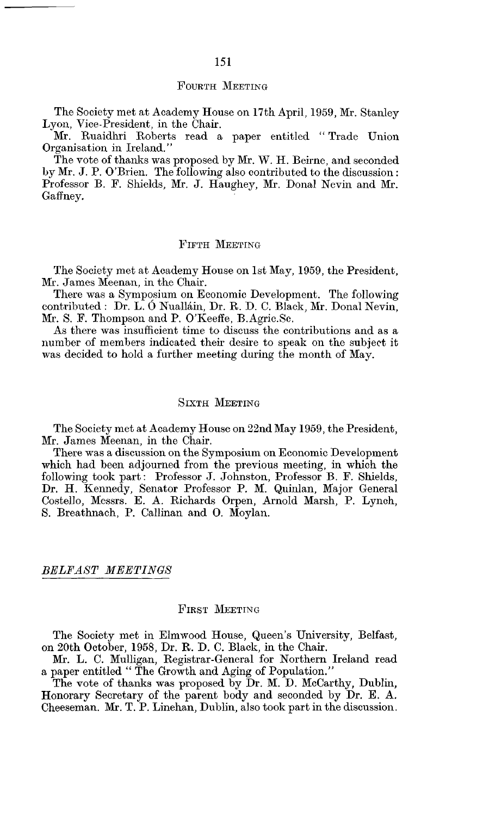#### FOURTH MEETING

The Society met at Academy House on 17th April, 1959, Mr. Stanley Lyon, Vice-President, in the Chair.

Mr. Ruaidhri Roberts read a paper entitled " Trade Union Organisation in Ireland/'

The vote of thanks was proposed by Mr. W. H. Beirne, and seconded by Mr. J. P. O'Brien. The following also contributed to the discussion : Professor B. F. Shields, Mr. J. Haughey, Mr. Donal Nevin and Mr. Gaffney.

## FIFTH MEETING

The Society met at Academy House on 1st May, 1959, the President, Mr. James Meenan, in the Chair.

There was a Symposium on Economic Development. The following contributed : Dr. L. 0 Nuallain, Dr. R. D. C. Black, Mr. Donal Nevin, Mr. S. F. Thompson and P. O'Keeffe, B.Agric.Sc.

As there was insufficient time to discuss the contributions and as a number of members indicated their desire to speak on the subject it was decided to hold a further meeting during the month of May.

## SIXTH MEETING

The Society met at Academy House on 22nd May 1959, the President, Mr. James Meenan, in the Chair.

There was a discussion on the Symposium on Economic Development which had been adjourned from the previous meeting, in which the following took part: Professor J. Johnston, Professor B. F. Shields, Dr. H. Kennedy, Senator Professor P. M. Quinlan, Major General Costello, Messrs. E. A. Richards Orpen, Arnold Marsh, P. Lynch, S. Breathnach, P. Callinan and 0. Moylan.

#### *BELFAST MEETINGS*

#### FIRST MEETING

The Society met in Elmwood House, Queen's University, Belfast, on 20th October, 1958, Dr. R. D. C. Black, in the Chair.

Mr. L. C. Mulligan, Registrar-General for Northern Ireland read a paper entitled " The Growth and Aging of Population."

The vote of thanks was proposed by Dr. M. D. McCarthy, Dublin, Honorary Secretary of the parent body and seconded by Dr. E. A. Cheeseman. Mr. T. P. Linehan, Dublin, also took part in the discussion.